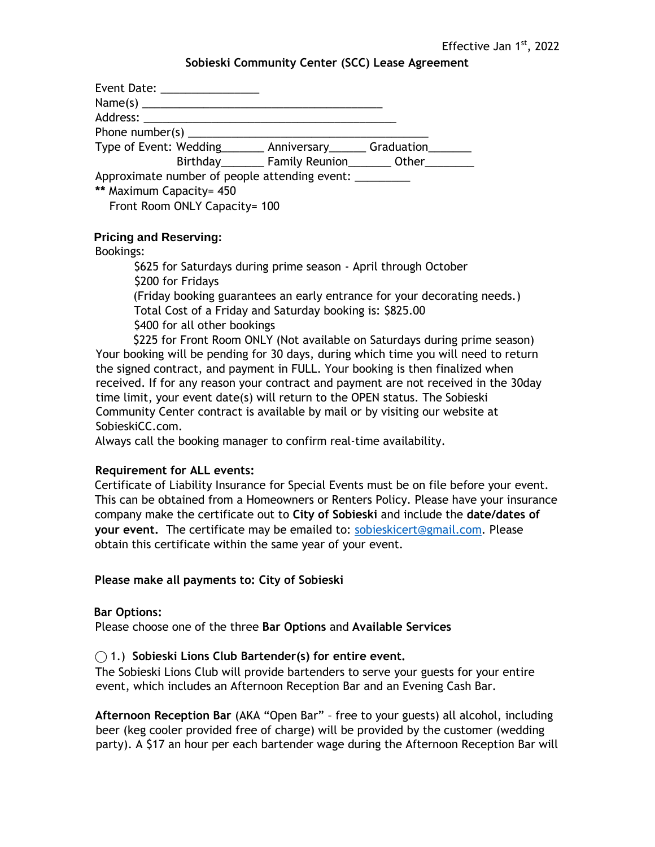#### **Sobieski Community Center (SCC) Lease Agreement**

| Event Date: _________________                                       |                              |  |
|---------------------------------------------------------------------|------------------------------|--|
|                                                                     |                              |  |
|                                                                     |                              |  |
| Phone number(s) $\qquad \qquad$                                     |                              |  |
| Type of Event: Wedding _______ Anniversary ______ Graduation ______ |                              |  |
|                                                                     | Birthday Family Reunion Cher |  |
| Approximate number of people attending event: _________             |                              |  |
| ** Maximum Capacity= 450                                            |                              |  |
| Front Room ONLY Capacity= 100                                       |                              |  |

## **Pricing and Reserving:**

#### Bookings:

\$625 for Saturdays during prime season - April through October \$200 for Fridays (Friday booking guarantees an early entrance for your decorating needs.) Total Cost of a Friday and Saturday booking is: \$825.00 \$400 for all other bookings \$225 for Front Room ONLY (Not available on Saturdays during prime season)

Your booking will be pending for 30 days, during which time you will need to return the signed contract, and payment in FULL. Your booking is then finalized when received. If for any reason your contract and payment are not received in the 30day time limit, your event date(s) will return to the OPEN status. The Sobieski Community Center contract is available by mail or by visiting our website at SobieskiCC.com.

Always call the booking manager to confirm real-time availability.

#### **Requirement for ALL events:**

Certificate of Liability Insurance for Special Events must be on file before your event. This can be obtained from a Homeowners or Renters Policy. Please have your insurance company make the certificate out to **City of Sobieski** and include the **date/dates of your event.** The certificate may be emailed to: [sobieskicert@gmail.com.](mailto:sobieskicert@gmail.com) Please obtain this certificate within the same year of your event.

#### **Please make all payments to: City of Sobieski**

#### **Bar Options:**

Please choose one of the three **Bar Options** and **Available Services** 

## ⃝ 1.) **Sobieski Lions Club Bartender(s) for entire event.**

The Sobieski Lions Club will provide bartenders to serve your guests for your entire event, which includes an Afternoon Reception Bar and an Evening Cash Bar.

**Afternoon Reception Bar** (AKA "Open Bar" – free to your guests) all alcohol, including beer (keg cooler provided free of charge) will be provided by the customer (wedding party). A \$17 an hour per each bartender wage during the Afternoon Reception Bar will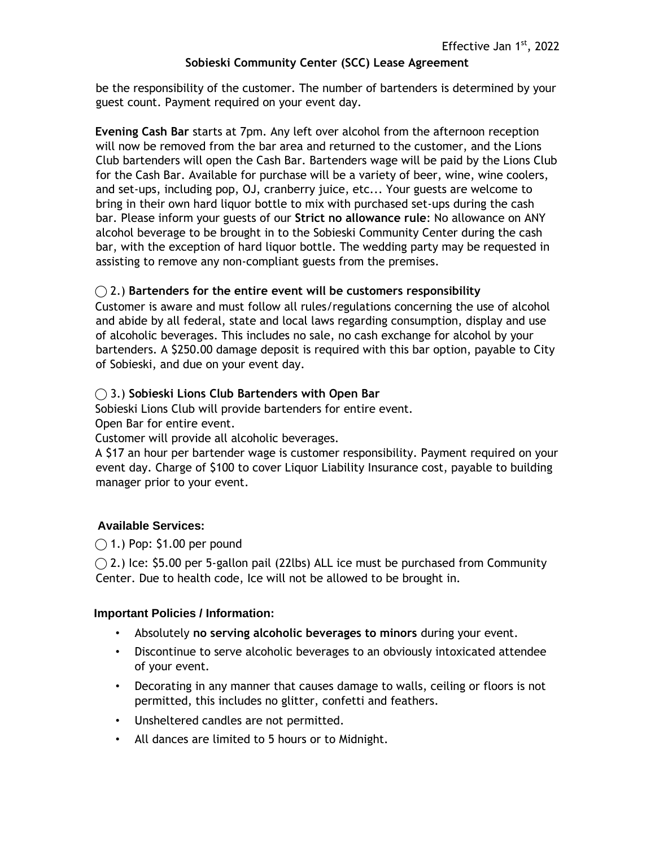## **Sobieski Community Center (SCC) Lease Agreement**

be the responsibility of the customer. The number of bartenders is determined by your guest count. Payment required on your event day.

**Evening Cash Bar** starts at 7pm. Any left over alcohol from the afternoon reception will now be removed from the bar area and returned to the customer, and the Lions Club bartenders will open the Cash Bar. Bartenders wage will be paid by the Lions Club for the Cash Bar. Available for purchase will be a variety of beer, wine, wine coolers, and set-ups, including pop, OJ, cranberry juice, etc... Your guests are welcome to bring in their own hard liquor bottle to mix with purchased set-ups during the cash bar. Please inform your guests of our **Strict no allowance rule**: No allowance on ANY alcohol beverage to be brought in to the Sobieski Community Center during the cash bar, with the exception of hard liquor bottle. The wedding party may be requested in assisting to remove any non-compliant guests from the premises.

## ⃝ 2.) **Bartenders for the entire event will be customers responsibility**

Customer is aware and must follow all rules/regulations concerning the use of alcohol and abide by all federal, state and local laws regarding consumption, display and use of alcoholic beverages. This includes no sale, no cash exchange for alcohol by your bartenders. A \$250.00 damage deposit is required with this bar option, payable to City of Sobieski, and due on your event day.

## ⃝ 3.) **Sobieski Lions Club Bartenders with Open Bar**

Sobieski Lions Club will provide bartenders for entire event.

Open Bar for entire event.

Customer will provide all alcoholic beverages.

A \$17 an hour per bartender wage is customer responsibility. Payment required on your event day. Charge of \$100 to cover Liquor Liability Insurance cost, payable to building manager prior to your event.

## **Available Services:**

 $\bigcap$  1.) Pop: \$1.00 per pound

 $\bigcirc$  2.) Ice: \$5.00 per 5-gallon pail (22lbs) ALL ice must be purchased from Community Center. Due to health code, Ice will not be allowed to be brought in.

#### **Important Policies / Information:**

- Absolutely **no serving alcoholic beverages to minors** during your event.
- Discontinue to serve alcoholic beverages to an obviously intoxicated attendee of your event.
- Decorating in any manner that causes damage to walls, ceiling or floors is not permitted, this includes no glitter, confetti and feathers.
- Unsheltered candles are not permitted.
- All dances are limited to 5 hours or to Midnight.